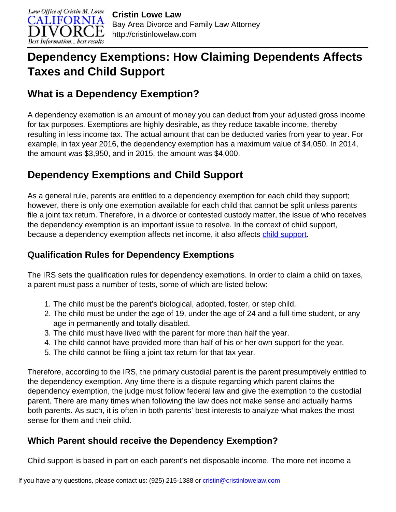

# **Dependency Exemptions: How Claiming Dependents Affects Taxes and Child Support**

## **What is a Dependency Exemption?**

A dependency exemption is an amount of money you can deduct from your adjusted gross income for tax purposes. Exemptions are highly desirable, as they reduce taxable income, thereby resulting in less income tax. The actual amount that can be deducted varies from year to year. For example, in tax year 2016, the dependency exemption has a maximum value of \$4,050. In 2014, the amount was \$3,950, and in 2015, the amount was \$4,000.

## **Dependency Exemptions and Child Support**

As a general rule, parents are entitled to a dependency exemption for each child they support; however, there is only one exemption available for each child that cannot be split unless parents file a joint tax return. Therefore, in a divorce or contested custody matter, the issue of who receives the dependency exemption is an important issue to resolve. In the context of child support, because a dependency exemption affects net income, it also affects [child support](http://cristinlowelaw.com/practice-areas/child-support/).

#### **Qualification Rules for Dependency Exemptions**

The IRS sets the qualification rules for dependency exemptions. In order to claim a child on taxes, a parent must pass a number of tests, some of which are listed below:

- 1. The child must be the parent's biological, adopted, foster, or step child.
- 2. The child must be under the age of 19, under the age of 24 and a full-time student, or any age in permanently and totally disabled.
- 3. The child must have lived with the parent for more than half the year.
- 4. The child cannot have provided more than half of his or her own support for the year.
- 5. The child cannot be filing a joint tax return for that tax year.

Therefore, according to the IRS, the primary custodial parent is the parent presumptively entitled to the dependency exemption. Any time there is a dispute regarding which parent claims the dependency exemption, the judge must follow federal law and give the exemption to the custodial parent. There are many times when following the law does not make sense and actually harms both parents. As such, it is often in both parents' best interests to analyze what makes the most sense for them and their child.

### **Which Parent should receive the Dependency Exemption?**

Child support is based in part on each parent's net disposable income. The more net income a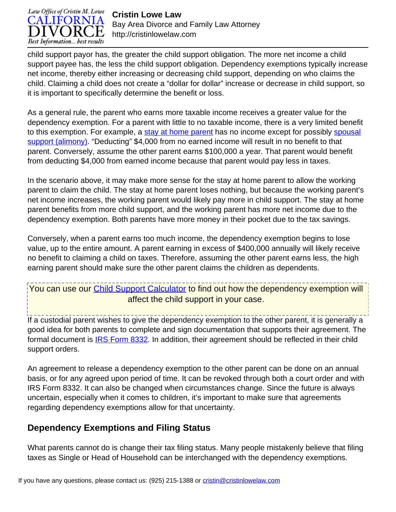

**Cristin Lowe Law** Bay Area Divorce and Family Law Attorney http://cristinlowelaw.com

child support payor has, the greater the child support obligation. The more net income a child support payee has, the less the child support obligation. Dependency exemptions typically increase net income, thereby either increasing or decreasing child support, depending on who claims the child. Claiming a child does not create a "dollar for dollar" increase or decrease in child support, so it is important to specifically determine the benefit or loss.

As a general rule, the parent who earns more taxable income receives a greater value for the dependency exemption. For a parent with little to no taxable income, there is a very limited benefit to this exemption. For example, a [stay at home parent](http://cristinlowelaw.com/i-am-a-stay-at-home-mom-getting-a-divorce-should-i-get-a-job/) has no income except for possibly [spousal](http://cristinlowelaw.com/practice-areas/spousal-support/california-spousal-support-calculator/) [support \(alimony\)](http://cristinlowelaw.com/practice-areas/spousal-support/california-spousal-support-calculator/). "Deducting" \$4,000 from no earned income will result in no benefit to that parent. Conversely, assume the other parent earns \$100,000 a year. That parent would benefit from deducting \$4,000 from earned income because that parent would pay less in taxes.

In the scenario above, it may make more sense for the stay at home parent to allow the working parent to claim the child. The stay at home parent loses nothing, but because the working parent's net income increases, the working parent would likely pay more in child support. The stay at home parent benefits from more child support, and the working parent has more net income due to the dependency exemption. Both parents have more money in their pocket due to the tax savings.

Conversely, when a parent earns too much income, the dependency exemption begins to lose value, up to the entire amount. A parent earning in excess of \$400,000 annually will likely receive no benefit to claiming a child on taxes. Therefore, assuming the other parent earns less, the high earning parent should make sure the other parent claims the children as dependents.

You can use our [Child Support Calculator](http://cristinlowelaw.com/practice-areas/child-support/california-child-support-calculator/) to find out how the dependency exemption will affect the child support in your case.

If a custodial parent wishes to give the dependency exemption to the other parent, it is generally a good idea for both parents to complete and sign documentation that supports their agreement. The formal document is **IRS Form 8332**. In addition, their agreement should be reflected in their child support orders.

An agreement to release a dependency exemption to the other parent can be done on an annual basis, or for any agreed upon period of time. It can be revoked through both a court order and with IRS Form 8332. It can also be changed when circumstances change. Since the future is always uncertain, especially when it comes to children, it's important to make sure that agreements regarding dependency exemptions allow for that uncertainty.

#### **Dependency Exemptions and Filing Status**

What parents cannot do is change their tax filing status. Many people mistakenly believe that filing taxes as Single or Head of Household can be interchanged with the dependency exemptions.